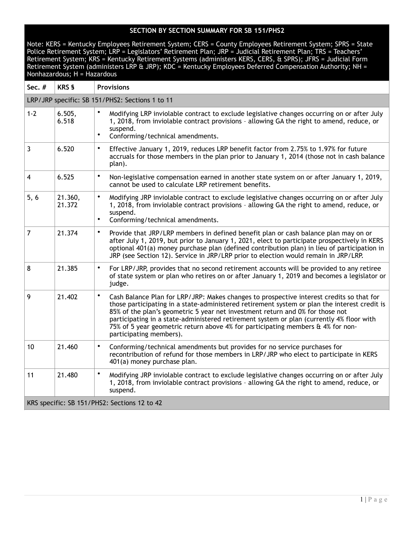| Sec. #                                       | <b>KRS §</b>      | <b>Provisions</b>                                                                                                                                                                                                                                                                                                                                                                                                                                                                                |
|----------------------------------------------|-------------------|--------------------------------------------------------------------------------------------------------------------------------------------------------------------------------------------------------------------------------------------------------------------------------------------------------------------------------------------------------------------------------------------------------------------------------------------------------------------------------------------------|
|                                              |                   | LRP/JRP specific: SB 151/PHS2: Sections 1 to 11                                                                                                                                                                                                                                                                                                                                                                                                                                                  |
| $1 - 2$                                      | 6.505,<br>6.518   | Modifying LRP inviolable contract to exclude legislative changes occurring on or after July<br>1, 2018, from inviolable contract provisions - allowing GA the right to amend, reduce, or<br>suspend.<br>$\bullet$<br>Conforming/technical amendments.                                                                                                                                                                                                                                            |
| 3                                            | 6.520             | $\bullet$<br>Effective January 1, 2019, reduces LRP benefit factor from 2.75% to 1.97% for future<br>accruals for those members in the plan prior to January 1, 2014 (those not in cash balance<br>plan).                                                                                                                                                                                                                                                                                        |
| 4                                            | 6.525             | $\bullet$<br>Non-legislative compensation earned in another state system on or after January 1, 2019,<br>cannot be used to calculate LRP retirement benefits.                                                                                                                                                                                                                                                                                                                                    |
| 5, 6                                         | 21.360,<br>21.372 | $\bullet$<br>Modifying JRP inviolable contract to exclude legislative changes occurring on or after July<br>1, 2018, from inviolable contract provisions - allowing GA the right to amend, reduce, or<br>suspend.<br>Conforming/technical amendments.<br>$\bullet$                                                                                                                                                                                                                               |
| $\overline{7}$                               | 21.374            | $\bullet$<br>Provide that JRP/LRP members in defined benefit plan or cash balance plan may on or<br>after July 1, 2019, but prior to January 1, 2021, elect to participate prospectively in KERS<br>optional 401(a) money purchase plan (defined contribution plan) in lieu of participation in<br>JRP (see Section 12). Service in JRP/LRP prior to election would remain in JRP/LRP.                                                                                                           |
| 8                                            | 21.385            | For LRP/JRP, provides that no second retirement accounts will be provided to any retiree<br>$\bullet$<br>of state system or plan who retires on or after January 1, 2019 and becomes a legislator or<br>judge.                                                                                                                                                                                                                                                                                   |
| 9                                            | 21.402            | $\bullet$<br>Cash Balance Plan for LRP/JRP: Makes changes to prospective interest credits so that for<br>those participating in a state-administered retirement system or plan the interest credit is<br>85% of the plan's geometric 5 year net investment return and 0% for those not<br>participating in a state-administered retirement system or plan (currently 4% floor with<br>75% of 5 year geometric return above 4% for participating members & 4% for non-<br>participating members). |
| 10                                           | 21.460            | $\bullet$<br>Conforming/technical amendments but provides for no service purchases for<br>recontribution of refund for those members in LRP/JRP who elect to participate in KERS<br>401(a) money purchase plan.                                                                                                                                                                                                                                                                                  |
| 11                                           | 21.480            | $\bullet$<br>Modifying JRP inviolable contract to exclude legislative changes occurring on or after July<br>1, 2018, from inviolable contract provisions - allowing GA the right to amend, reduce, or<br>suspend.                                                                                                                                                                                                                                                                                |
| KRS specific: SB 151/PHS2: Sections 12 to 42 |                   |                                                                                                                                                                                                                                                                                                                                                                                                                                                                                                  |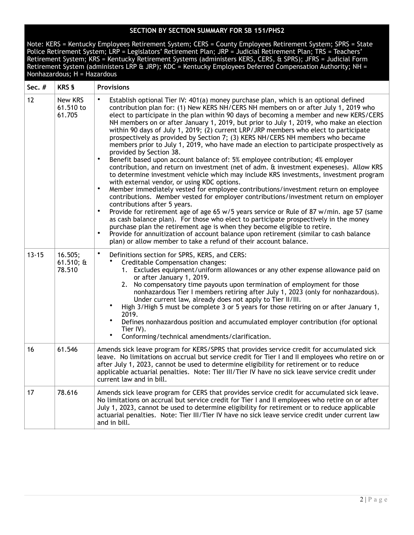| Sec. #    | <b>KRS §</b>                      | <b>Provisions</b>                                                                                                                                                                                                                                                                                                                                                                                                                                                                                                                                                                                                                                                                                                                                                                                                                                                                                                                                                                                                                                                                                                                                                                                                                                                                                                                                                                                                                                                                                                                                                                                                                                                                   |
|-----------|-----------------------------------|-------------------------------------------------------------------------------------------------------------------------------------------------------------------------------------------------------------------------------------------------------------------------------------------------------------------------------------------------------------------------------------------------------------------------------------------------------------------------------------------------------------------------------------------------------------------------------------------------------------------------------------------------------------------------------------------------------------------------------------------------------------------------------------------------------------------------------------------------------------------------------------------------------------------------------------------------------------------------------------------------------------------------------------------------------------------------------------------------------------------------------------------------------------------------------------------------------------------------------------------------------------------------------------------------------------------------------------------------------------------------------------------------------------------------------------------------------------------------------------------------------------------------------------------------------------------------------------------------------------------------------------------------------------------------------------|
| 12        | New KRS<br>61.510 to<br>61.705    | Establish optional Tier IV: 401(a) money purchase plan, which is an optional defined<br>contribution plan for: (1) New KERS NH/CERS NH members on or after July 1, 2019 who<br>elect to participate in the plan within 90 days of becoming a member and new KERS/CERS<br>NH members on or after January 1, 2019, but prior to July 1, 2019, who make an election<br>within 90 days of July 1, 2019; (2) current LRP/JRP members who elect to participate<br>prospectively as provided by Section 7; (3) KERS NH/CERS NH members who became<br>members prior to July 1, 2019, who have made an election to participate prospectively as<br>provided by Section 38.<br>$\bullet$<br>Benefit based upon account balance of: 5% employee contribution; 4% employer<br>contribution, and return on investment (net of adm. & investment expeneses). Allow KRS<br>to determine investment vehicle which may include KRS investments, investment program<br>with external vendor, or using KDC options.<br>Member immediately vested for employee contributions/investment return on employee<br>$\bullet$<br>contributions. Member vested for employer contributions/investment return on employer<br>contributions after 5 years.<br>$\bullet$<br>Provide for retirement age of age 65 w/5 years service or Rule of 87 w/min. age 57 (same<br>as cash balance plan). For those who elect to participate prospectively in the money<br>purchase plan the retirement age is when they become eligible to retire.<br>$\bullet$<br>Provide for annuitization of account balance upon retirement (similar to cash balance<br>plan) or allow member to take a refund of their account balance. |
| $13 - 15$ | 16.505;<br>$61.510; \&$<br>78.510 | $\bullet$<br>Definitions section for SPRS, KERS, and CERS:<br>Creditable Compensation changes:<br>1. Excludes equipment/uniform allowances or any other expense allowance paid on<br>or after January 1, 2019.<br>No compensatory time payouts upon termination of employment for those<br>2.<br>nonhazardous Tier I members retiring after July 1, 2023 (only for nonhazardous).<br>Under current law, already does not apply to Tier II/III.<br>High 3/High 5 must be complete 3 or 5 years for those retiring on or after January 1,<br>2019.<br>$\bullet$<br>Defines nonhazardous position and accumulated employer contribution (for optional<br>Tier IV).<br>٠<br>Conforming/technical amendments/clarification.                                                                                                                                                                                                                                                                                                                                                                                                                                                                                                                                                                                                                                                                                                                                                                                                                                                                                                                                                              |
| 16        | 61.546                            | Amends sick leave program for KERS/SPRS that provides service credit for accumulated sick<br>leave. No limitations on accrual but service credit for Tier I and II employees who retire on or<br>after July 1, 2023, cannot be used to determine eligibility for retirement or to reduce<br>applicable actuarial penalties. Note: Tier III/Tier IV have no sick leave service credit under<br>current law and in bill.                                                                                                                                                                                                                                                                                                                                                                                                                                                                                                                                                                                                                                                                                                                                                                                                                                                                                                                                                                                                                                                                                                                                                                                                                                                              |
| 17        | 78.616                            | Amends sick leave program for CERS that provides service credit for accumulated sick leave.<br>No limitations on accrual but service credit for Tier I and II employees who retire on or after<br>July 1, 2023, cannot be used to determine eligibility for retirement or to reduce applicable<br>actuarial penalties. Note: Tier III/Tier IV have no sick leave service credit under current law<br>and in bill.                                                                                                                                                                                                                                                                                                                                                                                                                                                                                                                                                                                                                                                                                                                                                                                                                                                                                                                                                                                                                                                                                                                                                                                                                                                                   |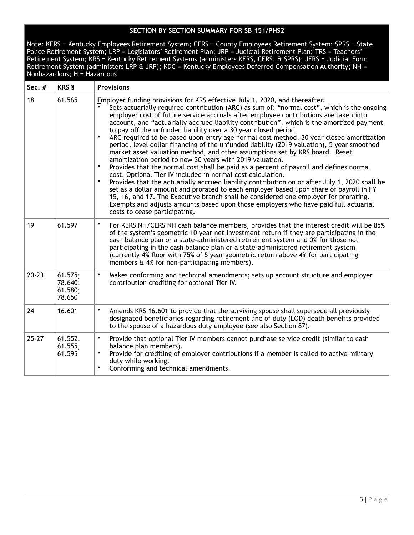| Sec. #    | <b>KRS §</b>                            | <b>Provisions</b>                                                                                                                                                                                                                                                                                                                                                                                                                                                                                                                                                                                                                                                                                                                                                                                                                                                                                                                                                                                                                                                                                                                                                                                                                                                                                                                                                           |
|-----------|-----------------------------------------|-----------------------------------------------------------------------------------------------------------------------------------------------------------------------------------------------------------------------------------------------------------------------------------------------------------------------------------------------------------------------------------------------------------------------------------------------------------------------------------------------------------------------------------------------------------------------------------------------------------------------------------------------------------------------------------------------------------------------------------------------------------------------------------------------------------------------------------------------------------------------------------------------------------------------------------------------------------------------------------------------------------------------------------------------------------------------------------------------------------------------------------------------------------------------------------------------------------------------------------------------------------------------------------------------------------------------------------------------------------------------------|
| 18        | 61.565                                  | Employer funding provisions for KRS effective July 1, 2020, and thereafter.<br>Sets actuarially required contribution (ARC) as sum of: "normal cost", which is the ongoing<br>employer cost of future service accruals after employee contributions are taken into<br>account, and "actuarially accrued liability contribution", which is the amortized payment<br>to pay off the unfunded liability over a 30 year closed period.<br>$\bullet$<br>ARC required to be based upon entry age normal cost method, 30 year closed amortization<br>period, level dollar financing of the unfunded liability (2019 valuation), 5 year smoothed<br>market asset valuation method, and other assumptions set by KRS board. Reset<br>amortization period to new 30 years with 2019 valuation.<br>Provides that the normal cost shall be paid as a percent of payroll and defines normal<br>$\bullet$<br>cost. Optional Tier IV included in normal cost calculation.<br>Provides that the actuarially accrued liability contribution on or after July 1, 2020 shall be<br>٠<br>set as a dollar amount and prorated to each employer based upon share of payroll in FY<br>15, 16, and 17. The Executive branch shall be considered one employer for prorating.<br>Exempts and adjusts amounts based upon those employers who have paid full actuarial<br>costs to cease participating. |
| 19        | 61.597                                  | ٠<br>For KERS NH/CERS NH cash balance members, provides that the interest credit will be 85%<br>of the system's geometric 10 year net investment return if they are participating in the<br>cash balance plan or a state-administered retirement system and 0% for those not<br>participating in the cash balance plan or a state-administered retirement system<br>(currently 4% floor with 75% of 5 year geometric return above 4% for participating<br>members & 4% for non-participating members).                                                                                                                                                                                                                                                                                                                                                                                                                                                                                                                                                                                                                                                                                                                                                                                                                                                                      |
| $20 - 23$ | 61.575;<br>78.640;<br>61.580;<br>78.650 | $\bullet$<br>Makes conforming and technical amendments; sets up account structure and employer<br>contribution crediting for optional Tier IV.                                                                                                                                                                                                                                                                                                                                                                                                                                                                                                                                                                                                                                                                                                                                                                                                                                                                                                                                                                                                                                                                                                                                                                                                                              |
| 24        | 16.601                                  | ٠<br>Amends KRS 16.601 to provide that the surviving spouse shall supersede all previously<br>designated beneficiaries regarding retirement line of duty (LOD) death benefits provided<br>to the spouse of a hazardous duty employee (see also Section 87).                                                                                                                                                                                                                                                                                                                                                                                                                                                                                                                                                                                                                                                                                                                                                                                                                                                                                                                                                                                                                                                                                                                 |
| $25 - 27$ | 61.552,<br>61.555,<br>61.595            | $\bullet$<br>Provide that optional Tier IV members cannot purchase service credit (similar to cash<br>balance plan members).<br>Provide for crediting of employer contributions if a member is called to active military<br>٠<br>duty while working.<br>$\bullet$<br>Conforming and technical amendments.                                                                                                                                                                                                                                                                                                                                                                                                                                                                                                                                                                                                                                                                                                                                                                                                                                                                                                                                                                                                                                                                   |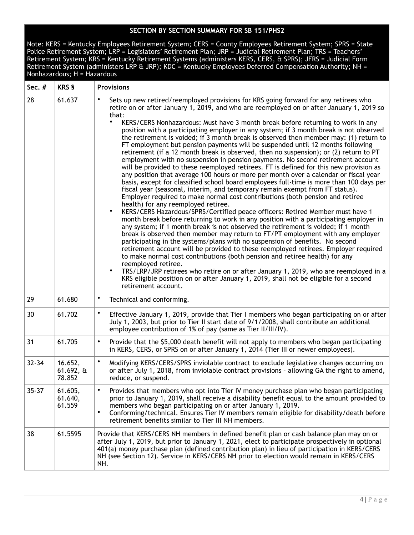| Sec. #    | <b>KRS §</b>                                 | <b>Provisions</b>                                                                                                                                                                                                                                                                                                                                                                                                                                                                                                                                                                                                                                                                                                                                                                                                                                                                                                                                                                                                                                                                                                                                                                                                                                                                                                                                                                                                                                                                                                                                                                                                                                                                                                                                                                                                                                                                                                                                                                                                                                                                                |
|-----------|----------------------------------------------|--------------------------------------------------------------------------------------------------------------------------------------------------------------------------------------------------------------------------------------------------------------------------------------------------------------------------------------------------------------------------------------------------------------------------------------------------------------------------------------------------------------------------------------------------------------------------------------------------------------------------------------------------------------------------------------------------------------------------------------------------------------------------------------------------------------------------------------------------------------------------------------------------------------------------------------------------------------------------------------------------------------------------------------------------------------------------------------------------------------------------------------------------------------------------------------------------------------------------------------------------------------------------------------------------------------------------------------------------------------------------------------------------------------------------------------------------------------------------------------------------------------------------------------------------------------------------------------------------------------------------------------------------------------------------------------------------------------------------------------------------------------------------------------------------------------------------------------------------------------------------------------------------------------------------------------------------------------------------------------------------------------------------------------------------------------------------------------------------|
| 28        | 61.637                                       | Sets up new retired/reemployed provisions for KRS going forward for any retirees who<br>$\bullet$<br>retire on or after January 1, 2019, and who are reemployed on or after January 1, 2019 so<br>that:<br>KERS/CERS Nonhazardous: Must have 3 month break before returning to work in any<br>position with a participating employer in any system; if 3 month break is not observed<br>the retirement is voided; if 3 month break is observed then member may: (1) return to<br>FT employment but pension payments will be suspended until 12 months following<br>retirement (if a 12 month break is observed, then no suspension); or (2) return to PT<br>employment with no suspension in pension payments. No second retirement account<br>will be provided to these reemployed retirees. FT is defined for this new provision as<br>any position that average 100 hours or more per month over a calendar or fiscal year<br>basis, except for classified school board employees full-time is more than 100 days per<br>fiscal year (seasonal, interim, and temporary remain exempt from FT status).<br>Employer required to make normal cost contributions (both pension and retiree<br>health) for any reemployed retiree.<br>KERS/CERS Hazardous/SPRS/Certified peace officers: Retired Member must have 1<br>$\bullet$<br>month break before returning to work in any position with a participating employer in<br>any system; if 1 month break is not observed the retirement is voided; if 1 month<br>break is observed then member may return to FT/PT employment with any employer<br>participating in the systems/plans with no suspension of benefits. No second<br>retirement account will be provided to these reemployed retirees. Employer required<br>to make normal cost contributions (both pension and retiree health) for any<br>reemployed retiree.<br>$\bullet$<br>TRS/LRP/JRP retirees who retire on or after January 1, 2019, who are reemployed in a<br>KRS eligible position on or after January 1, 2019, shall not be eligible for a second<br>retirement account. |
| 29        | 61.680                                       | ٠<br>Technical and conforming.                                                                                                                                                                                                                                                                                                                                                                                                                                                                                                                                                                                                                                                                                                                                                                                                                                                                                                                                                                                                                                                                                                                                                                                                                                                                                                                                                                                                                                                                                                                                                                                                                                                                                                                                                                                                                                                                                                                                                                                                                                                                   |
| 30        | 61.702                                       | ٠<br>Effective January 1, 2019, provide that Tier I members who began participating on or after<br>July 1, 2003, but prior to Tier II start date of 9/1/2008, shall contribute an additional<br>employee contribution of 1% of pay (same as Tier II/III/IV).                                                                                                                                                                                                                                                                                                                                                                                                                                                                                                                                                                                                                                                                                                                                                                                                                                                                                                                                                                                                                                                                                                                                                                                                                                                                                                                                                                                                                                                                                                                                                                                                                                                                                                                                                                                                                                     |
| 31        | 61.705                                       | Provide that the \$5,000 death benefit will not apply to members who began participating<br>٠<br>in KERS, CERS, or SPRS on or after January 1, 2014 (Tier III or newer employees).                                                                                                                                                                                                                                                                                                                                                                                                                                                                                                                                                                                                                                                                                                                                                                                                                                                                                                                                                                                                                                                                                                                                                                                                                                                                                                                                                                                                                                                                                                                                                                                                                                                                                                                                                                                                                                                                                                               |
| $32 - 34$ | 16.652,<br>$61.692, \,\mathrm{ft}$<br>78.852 | $\bullet$<br>Modifying KERS/CERS/SPRS inviolable contract to exclude legislative changes occurring on<br>or after July 1, 2018, from inviolable contract provisions - allowing GA the right to amend,<br>reduce, or suspend.                                                                                                                                                                                                                                                                                                                                                                                                                                                                                                                                                                                                                                                                                                                                                                                                                                                                                                                                                                                                                                                                                                                                                                                                                                                                                                                                                                                                                                                                                                                                                                                                                                                                                                                                                                                                                                                                     |
| $35 - 37$ | 61.605,<br>61.640,<br>61.559                 | $\bullet$<br>Provides that members who opt into Tier IV money purchase plan who began participating<br>prior to January 1, 2019, shall receive a disability benefit equal to the amount provided to<br>members who began participating on or after January 1, 2019.<br>$\bullet$<br>Conforming/technical. Ensures Tier IV members remain eligible for disability/death before<br>retirement benefits similar to Tier III NH members.                                                                                                                                                                                                                                                                                                                                                                                                                                                                                                                                                                                                                                                                                                                                                                                                                                                                                                                                                                                                                                                                                                                                                                                                                                                                                                                                                                                                                                                                                                                                                                                                                                                             |
| 38        | 61.5595                                      | Provide that KERS/CERS NH members in defined benefit plan or cash balance plan may on or<br>after July 1, 2019, but prior to January 1, 2021, elect to participate prospectively in optional<br>401(a) money purchase plan (defined contribution plan) in lieu of participation in KERS/CERS<br>NH (see Section 12). Service in KERS/CERS NH prior to election would remain in KERS/CERS<br>NH.                                                                                                                                                                                                                                                                                                                                                                                                                                                                                                                                                                                                                                                                                                                                                                                                                                                                                                                                                                                                                                                                                                                                                                                                                                                                                                                                                                                                                                                                                                                                                                                                                                                                                                  |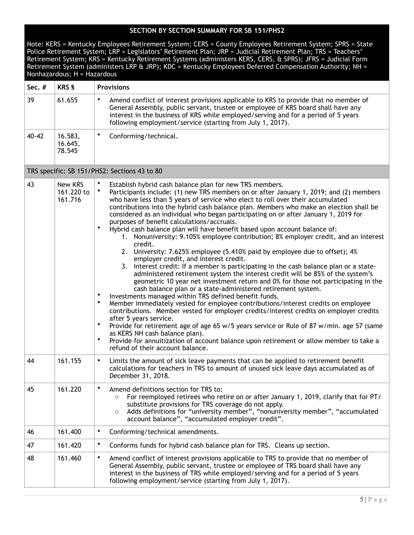| Note: KERS = Kentucky Employees Retirement System; CERS = County Employees Retirement System; SPRS = State<br>Police Retirement System; LRP = Legislators' Retirement Plan; JRP = Judicial Retirement Plan; TRS = Teachers'<br>Retirement System; KRS = Kentucky Retirement Systems (administers KERS, CERS, & SPRS); JFRS = Judicial Form<br>Retirement System (administers LRP & JRP); KDC = Kentucky Employees Deferred Compensation Authority; NH =<br>Nonhazardous; H = Hazardous |                                  |                                                                                                                                                                                                                                                                                                                                                                                                                                                                                                                                                                                                                                                                                                                                                                                                                                                                                                                                                                                                                                                                                                                                                                                                                                                                                                                                                                                                                                                                                                                                                                                                                                                          |
|----------------------------------------------------------------------------------------------------------------------------------------------------------------------------------------------------------------------------------------------------------------------------------------------------------------------------------------------------------------------------------------------------------------------------------------------------------------------------------------|----------------------------------|----------------------------------------------------------------------------------------------------------------------------------------------------------------------------------------------------------------------------------------------------------------------------------------------------------------------------------------------------------------------------------------------------------------------------------------------------------------------------------------------------------------------------------------------------------------------------------------------------------------------------------------------------------------------------------------------------------------------------------------------------------------------------------------------------------------------------------------------------------------------------------------------------------------------------------------------------------------------------------------------------------------------------------------------------------------------------------------------------------------------------------------------------------------------------------------------------------------------------------------------------------------------------------------------------------------------------------------------------------------------------------------------------------------------------------------------------------------------------------------------------------------------------------------------------------------------------------------------------------------------------------------------------------|
| Sec. #                                                                                                                                                                                                                                                                                                                                                                                                                                                                                 | <b>KRS §</b>                     | <b>Provisions</b>                                                                                                                                                                                                                                                                                                                                                                                                                                                                                                                                                                                                                                                                                                                                                                                                                                                                                                                                                                                                                                                                                                                                                                                                                                                                                                                                                                                                                                                                                                                                                                                                                                        |
| 39                                                                                                                                                                                                                                                                                                                                                                                                                                                                                     | 61.655                           | Amend conflict of interest provisions applicable to KRS to provide that no member of<br>General Assembly, public servant, trustee or employee of KRS board shall have any<br>interest in the business of KRS while employed/serving and for a period of 5 years<br>following employment/service (starting from July 1, 2017).                                                                                                                                                                                                                                                                                                                                                                                                                                                                                                                                                                                                                                                                                                                                                                                                                                                                                                                                                                                                                                                                                                                                                                                                                                                                                                                            |
| $40 - 42$                                                                                                                                                                                                                                                                                                                                                                                                                                                                              | 16.583,<br>16.645,<br>78.545     | ٠<br>Conforming/technical.                                                                                                                                                                                                                                                                                                                                                                                                                                                                                                                                                                                                                                                                                                                                                                                                                                                                                                                                                                                                                                                                                                                                                                                                                                                                                                                                                                                                                                                                                                                                                                                                                               |
|                                                                                                                                                                                                                                                                                                                                                                                                                                                                                        |                                  | TRS specific: SB 151/PHS2: Sections 43 to 80                                                                                                                                                                                                                                                                                                                                                                                                                                                                                                                                                                                                                                                                                                                                                                                                                                                                                                                                                                                                                                                                                                                                                                                                                                                                                                                                                                                                                                                                                                                                                                                                             |
| 43                                                                                                                                                                                                                                                                                                                                                                                                                                                                                     | New KRS<br>161.220 to<br>161.716 | Establish hybrid cash balance plan for new TRS members.<br>Participants include: (1) new TRS members on or after January 1, 2019; and (2) members<br>who have less than 5 years of service who elect to roll over their accumulated<br>contributions into the hybrid cash balance plan. Members who make an election shall be<br>considered as an individual who began participating on or after January 1, 2019 for<br>purposes of benefit calculations/accruals.<br>$\bullet$<br>Hybrid cash balance plan will have benefit based upon account balance of:<br>1. Nonuniversity: 9.105% employee contribution; 8% employer credit, and an interest<br>credit.<br>2. University: 7.625% employee (5.410% paid by employee due to offset); 4%<br>employer credit, and interest credit.<br>3. Interest credit: If a member is participating in the cash balance plan or a state-<br>administered retirement system the interest credit will be 85% of the system's<br>geometric 10 year net investment return and 0% for those not participating in the<br>cash balance plan or a state-administered retirement system.<br>Investments managed within TRS defined benefit funds.<br>Member immediately vested for employee contributions/interest credits on employee<br>contributions. Member vested for employer credits/interest credits on employer credits<br>after 5 years service.<br>٠<br>Provide for retirement age of age 65 w/5 years service or Rule of 87 w/min. age 57 (same<br>as KERS NH cash balance plan).<br>Provide for annuitization of account balance upon retirement or allow member to take a<br>refund of their account balance. |
| 44                                                                                                                                                                                                                                                                                                                                                                                                                                                                                     | 161.155                          | ٠<br>Limits the amount of sick leave payments that can be applied to retirement benefit<br>calculations for teachers in TRS to amount of unused sick leave days accumulated as of<br>December 31, 2018.                                                                                                                                                                                                                                                                                                                                                                                                                                                                                                                                                                                                                                                                                                                                                                                                                                                                                                                                                                                                                                                                                                                                                                                                                                                                                                                                                                                                                                                  |
| 45                                                                                                                                                                                                                                                                                                                                                                                                                                                                                     | 161.220                          | ٠<br>Amend definitions section for TRS to:<br>For reemployed retirees who retire on or after January 1, 2019, clarify that for PT/<br>$\circ$<br>substitute provisions for TRS coverage do not apply.<br>Adds definitions for "university member", "nonuniversity member", "accumulated<br>$\circ$<br>account balance", "accumulated employer credit".                                                                                                                                                                                                                                                                                                                                                                                                                                                                                                                                                                                                                                                                                                                                                                                                                                                                                                                                                                                                                                                                                                                                                                                                                                                                                                   |
| 46                                                                                                                                                                                                                                                                                                                                                                                                                                                                                     | 161.400                          | ٠<br>Conforming/technical amendments.                                                                                                                                                                                                                                                                                                                                                                                                                                                                                                                                                                                                                                                                                                                                                                                                                                                                                                                                                                                                                                                                                                                                                                                                                                                                                                                                                                                                                                                                                                                                                                                                                    |
| 47                                                                                                                                                                                                                                                                                                                                                                                                                                                                                     | 161.420                          | ٠<br>Conforms funds for hybrid cash balance plan for TRS. Cleans up section.                                                                                                                                                                                                                                                                                                                                                                                                                                                                                                                                                                                                                                                                                                                                                                                                                                                                                                                                                                                                                                                                                                                                                                                                                                                                                                                                                                                                                                                                                                                                                                             |
| 48                                                                                                                                                                                                                                                                                                                                                                                                                                                                                     | 161.460                          | ٠<br>Amend conflict of interest provisions applicable to TRS to provide that no member of<br>General Assembly, public servant, trustee or employee of TRS board shall have any<br>interest in the business of TRS while employed/serving and for a period of 5 years<br>following employment/service (starting from July 1, 2017).                                                                                                                                                                                                                                                                                                                                                                                                                                                                                                                                                                                                                                                                                                                                                                                                                                                                                                                                                                                                                                                                                                                                                                                                                                                                                                                       |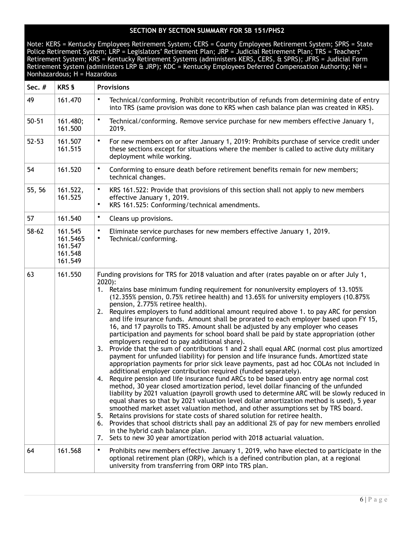| Sec. #    | <b>KRS §</b>                                         | <b>Provisions</b>                                                                                                                                                                                                                                                                                                                                                                                                                                                                                                                                                                                                                                                                                                                                                                                                                                                                                                                                                                                                                                                                                                                                                                                                                                                                                                                                                                                                                                                                                                                                                                                                                                                                                                                                                                                                                                                               |
|-----------|------------------------------------------------------|---------------------------------------------------------------------------------------------------------------------------------------------------------------------------------------------------------------------------------------------------------------------------------------------------------------------------------------------------------------------------------------------------------------------------------------------------------------------------------------------------------------------------------------------------------------------------------------------------------------------------------------------------------------------------------------------------------------------------------------------------------------------------------------------------------------------------------------------------------------------------------------------------------------------------------------------------------------------------------------------------------------------------------------------------------------------------------------------------------------------------------------------------------------------------------------------------------------------------------------------------------------------------------------------------------------------------------------------------------------------------------------------------------------------------------------------------------------------------------------------------------------------------------------------------------------------------------------------------------------------------------------------------------------------------------------------------------------------------------------------------------------------------------------------------------------------------------------------------------------------------------|
| 49        | 161.470                                              | Technical/conforming. Prohibit recontribution of refunds from determining date of entry<br>$\bullet$<br>into TRS (same provision was done to KRS when cash balance plan was created in KRS).                                                                                                                                                                                                                                                                                                                                                                                                                                                                                                                                                                                                                                                                                                                                                                                                                                                                                                                                                                                                                                                                                                                                                                                                                                                                                                                                                                                                                                                                                                                                                                                                                                                                                    |
| $50 - 51$ | 161.480;<br>161.500                                  | $\bullet$<br>Technical/conforming. Remove service purchase for new members effective January 1,<br>2019.                                                                                                                                                                                                                                                                                                                                                                                                                                                                                                                                                                                                                                                                                                                                                                                                                                                                                                                                                                                                                                                                                                                                                                                                                                                                                                                                                                                                                                                                                                                                                                                                                                                                                                                                                                        |
| $52 - 53$ | 161.507<br>161.515                                   | $\bullet$<br>For new members on or after January 1, 2019: Prohibits purchase of service credit under<br>these sections except for situations where the member is called to active duty military<br>deployment while working.                                                                                                                                                                                                                                                                                                                                                                                                                                                                                                                                                                                                                                                                                                                                                                                                                                                                                                                                                                                                                                                                                                                                                                                                                                                                                                                                                                                                                                                                                                                                                                                                                                                    |
| 54        | 161.520                                              | $\bullet$<br>Conforming to ensure death before retirement benefits remain for new members;<br>technical changes.                                                                                                                                                                                                                                                                                                                                                                                                                                                                                                                                                                                                                                                                                                                                                                                                                                                                                                                                                                                                                                                                                                                                                                                                                                                                                                                                                                                                                                                                                                                                                                                                                                                                                                                                                                |
| 55, 56    | 161.522,<br>161.525                                  | $\bullet$<br>KRS 161.522: Provide that provisions of this section shall not apply to new members<br>effective January 1, 2019.<br>KRS 161.525: Conforming/technical amendments.<br>$\bullet$                                                                                                                                                                                                                                                                                                                                                                                                                                                                                                                                                                                                                                                                                                                                                                                                                                                                                                                                                                                                                                                                                                                                                                                                                                                                                                                                                                                                                                                                                                                                                                                                                                                                                    |
| 57        | 161.540                                              | $\bullet$<br>Cleans up provisions.                                                                                                                                                                                                                                                                                                                                                                                                                                                                                                                                                                                                                                                                                                                                                                                                                                                                                                                                                                                                                                                                                                                                                                                                                                                                                                                                                                                                                                                                                                                                                                                                                                                                                                                                                                                                                                              |
| $58 - 62$ | 161.545<br>161.5465<br>161.547<br>161.548<br>161.549 | $\bullet$<br>Eliminate service purchases for new members effective January 1, 2019.<br>Technical/conforming.<br>$\bullet$                                                                                                                                                                                                                                                                                                                                                                                                                                                                                                                                                                                                                                                                                                                                                                                                                                                                                                                                                                                                                                                                                                                                                                                                                                                                                                                                                                                                                                                                                                                                                                                                                                                                                                                                                       |
| 63        | 161.550                                              | Funding provisions for TRS for 2018 valuation and after (rates payable on or after July 1,<br>$2020$ :<br>1. Retains base minimum funding requirement for nonuniversity employers of 13.105%<br>(12.355% pension, 0.75% retiree health) and 13.65% for university employers (10.875%<br>pension, 2.775% retiree health).<br>Requires employers to fund additional amount required above 1. to pay ARC for pension<br>2.<br>and life insurance funds. Amount shall be prorated to each employer based upon FY 15,<br>16, and 17 payrolls to TRS. Amount shall be adjusted by any employer who ceases<br>participation and payments for school board shall be paid by state appropriation (other<br>employers required to pay additional share).<br>3. Provide that the sum of contributions 1 and 2 shall equal ARC (normal cost plus amortized<br>payment for unfunded liability) for pension and life insurance funds. Amortized state<br>appropriation payments for prior sick leave payments, past ad hoc COLAs not included in<br>additional employer contribution required (funded separately).<br>Require pension and life insurance fund ARCs to be based upon entry age normal cost<br>4.<br>method, 30 year closed amortization period, level dollar financing of the unfunded<br>liability by 2021 valuation (payroll growth used to determine ARC will be slowly reduced in<br>equal shares so that by 2021 valuation level dollar amortization method is used), 5 year<br>smoothed market asset valuation method, and other assumptions set by TRS board.<br>Retains provisions for state costs of shared solution for retiree health.<br>5.<br>Provides that school districts shall pay an additional 2% of pay for new members enrolled<br>6.<br>in the hybrid cash balance plan.<br>Sets to new 30 year amortization period with 2018 actuarial valuation.<br>7. |
| 64        | 161.568                                              | Prohibits new members effective January 1, 2019, who have elected to participate in the<br>٠<br>optional retirement plan (ORP), which is a defined contribution plan, at a regional<br>university from transferring from ORP into TRS plan.                                                                                                                                                                                                                                                                                                                                                                                                                                                                                                                                                                                                                                                                                                                                                                                                                                                                                                                                                                                                                                                                                                                                                                                                                                                                                                                                                                                                                                                                                                                                                                                                                                     |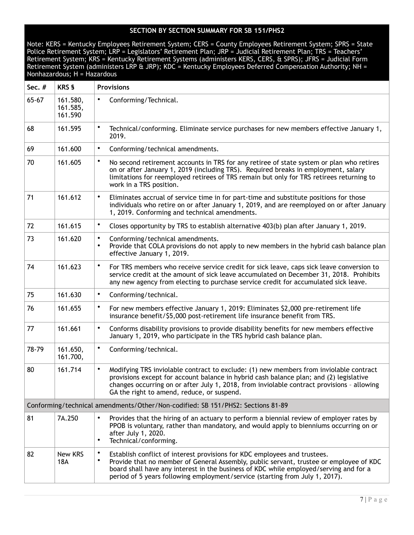| Sec. #                                                                          | <b>KRS §</b>                    | <b>Provisions</b>                                                                                                                                                                                                                                                                                                                                              |  |
|---------------------------------------------------------------------------------|---------------------------------|----------------------------------------------------------------------------------------------------------------------------------------------------------------------------------------------------------------------------------------------------------------------------------------------------------------------------------------------------------------|--|
| $65 - 67$                                                                       | 161.580,<br>161.585,<br>161.590 | $\bullet$<br>Conforming/Technical.                                                                                                                                                                                                                                                                                                                             |  |
| 68                                                                              | 161.595                         | $\bullet$<br>Technical/conforming. Eliminate service purchases for new members effective January 1,<br>2019.                                                                                                                                                                                                                                                   |  |
| 69                                                                              | 161.600                         | $\bullet$<br>Conforming/technical amendments.                                                                                                                                                                                                                                                                                                                  |  |
| 70                                                                              | 161.605                         | $\bullet$<br>No second retirement accounts in TRS for any retiree of state system or plan who retires<br>on or after January 1, 2019 (including TRS). Required breaks in employment, salary<br>limitations for reemployed retirees of TRS remain but only for TRS retirees returning to<br>work in a TRS position.                                             |  |
| 71                                                                              | 161.612                         | $\bullet$<br>Eliminates accrual of service time in for part-time and substitute positions for those<br>individuals who retire on or after January 1, 2019, and are reemployed on or after January<br>1, 2019. Conforming and technical amendments.                                                                                                             |  |
| 72                                                                              | 161.615                         | $\bullet$<br>Closes opportunity by TRS to establish alternative 403(b) plan after January 1, 2019.                                                                                                                                                                                                                                                             |  |
| 73                                                                              | 161.620                         | $\bullet$<br>Conforming/technical amendments.<br>Provide that COLA provisions do not apply to new members in the hybrid cash balance plan<br>$\bullet$<br>effective January 1, 2019.                                                                                                                                                                           |  |
| 74                                                                              | 161.623                         | $\bullet$<br>For TRS members who receive service credit for sick leave, caps sick leave conversion to<br>service credit at the amount of sick leave accumulated on December 31, 2018. Prohibits<br>any new agency from electing to purchase service credit for accumulated sick leave.                                                                         |  |
| 75                                                                              | 161.630                         | $\bullet$<br>Conforming/technical.                                                                                                                                                                                                                                                                                                                             |  |
| 76                                                                              | 161.655                         | ٠<br>For new members effective January 1, 2019: Eliminates \$2,000 pre-retirement life<br>insurance benefit/\$5,000 post-retirement life insurance benefit from TRS.                                                                                                                                                                                           |  |
| 77                                                                              | 161.661                         | $\bullet$<br>Conforms disability provisions to provide disability benefits for new members effective<br>January 1, 2019, who participate in the TRS hybrid cash balance plan.                                                                                                                                                                                  |  |
| 78-79                                                                           | 161.650,<br>161.700,            | $\bullet$<br>Conforming/technical.                                                                                                                                                                                                                                                                                                                             |  |
| 80                                                                              | 161.714                         | Modifying TRS inviolable contract to exclude: (1) new members from inviolable contract<br>$\bullet$<br>provisions except for account balance in hybrid cash balance plan; and (2) legislative<br>changes occurring on or after July 1, 2018, from inviolable contract provisions - allowing<br>GA the right to amend, reduce, or suspend.                      |  |
| Conforming/technical amendments/Other/Non-codified: SB 151/PHS2: Sections 81-89 |                                 |                                                                                                                                                                                                                                                                                                                                                                |  |
| 81                                                                              | 7A.250                          | $\bullet$<br>Provides that the hiring of an actuary to perform a biennial review of employer rates by<br>PPOB is voluntary, rather than mandatory, and would apply to bienniums occurring on or<br>after July 1, 2020.<br>Technical/conforming.<br>$\bullet$                                                                                                   |  |
| 82                                                                              | New KRS<br>18A                  | ٠<br>Establish conflict of interest provisions for KDC employees and trustees.<br>$\bullet$<br>Provide that no member of General Assembly, public servant, trustee or employee of KDC<br>board shall have any interest in the business of KDC while employed/serving and for a<br>period of 5 years following employment/service (starting from July 1, 2017). |  |